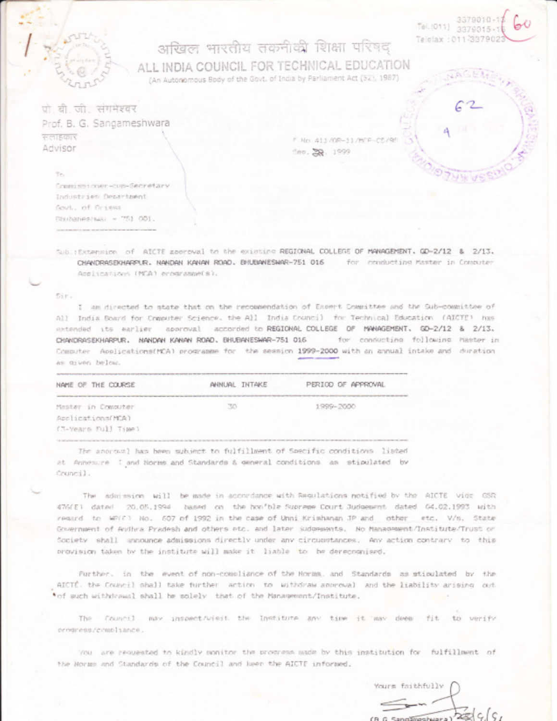3379010-1 Tel.(011) 3379015-1 Telelax: 011-337902

## अखिल भारतीय तकनीकी शिक्षा परिषद ALL INDIA COUNCIL FOR TECHNICAL EDUCATION

(An Autonomous Body of the Govt. of India by Parliament Act (52), 1987)

प्रो. बी. जी. संगमेश्वर Prof. B. G. Sangameshwara सलाहकार Advisor

F. No. 411/09-11/MCP-CS/95 Smp. 22. 1999

Te. Commissioner-cup-Secretary Industries Department Sout, of firiess Rhubaneshua: - 751 001.

Sub : Extension of AICTE gooroval to the existing REGIONAL COLLEGE OF MANAGEMENT, GD-2/12 & 2/13. CHANDRASEKHARPUR, NANDAN KANAN ROAD, BHUBANESWAR-751 016 for conducting Master in Concuter Applications (MCA) erogramme(s),

## Sir.

I am directed to state that on the recommendation of Expert Committee and the Sub-committee of All India Board for Computer Science. the All India Council for Technical Education (AICTE) has extended its earlier approval accorded to REGIONAL COLLEGE OF MANAGEMENT, GD-2/12 & 2/13. CHANDRASEKHARPUR, NANDAN KANAN ROAD, EHUBANESWAR-751 016 for conducting following Master in Computer Applications(MCA) programme for the session 1999-2000 with an annual intake and duration as given helow.

| NAME OF THE COURSE  | ANNUAL INTAKE | PERIOD OF APPROVAL |
|---------------------|---------------|--------------------|
| Master in Computer  | 30            | 1999-2000          |
| Applications(MCA)   |               |                    |
| (N-Years Full Time) |               |                    |
|                     |               |                    |

The anorowal has been subject to fulfillment of Specific conditions listed at Annexure I and Norms and Standards & general conditions as stipulated by Council.

The admission will be made in accordance with Requlations notified by the AICTE vide GSR 476(E) dated 20.05.1994 based on the hon'ble Supreme Court Judgesent dated 04.02.1993 with reasyd to WP(C) No. 507 of 1992 in the case of Unni Krishanan JP and other etc. V/s. State Government of Audius Pradesh and others etc. and later sudgements. No Management/Institute/Trust or Society shall announce admissions directly under any circumstances. Any action contrary to this provision taken by the institute will make it liable to be derecognised.

Further, in the event of non-compliance of the Norms, and Standards as stipulated by the AICTÉ, the Council shall take further action to withdraw approval and the liability arising out \*of such withdrawal shall be solely that of the Management/Institute. **Controller** 

The Council may incomet/visit the Institute any time it may deem fit to verify orneress/compliance.

You are requested to kindly monitor the progress made by this institution for fulfillment of the Norms and Standards of the Council and lawer the AICTE informed.

Yours faithfully  $g\vert \varsigma \vert \varsigma$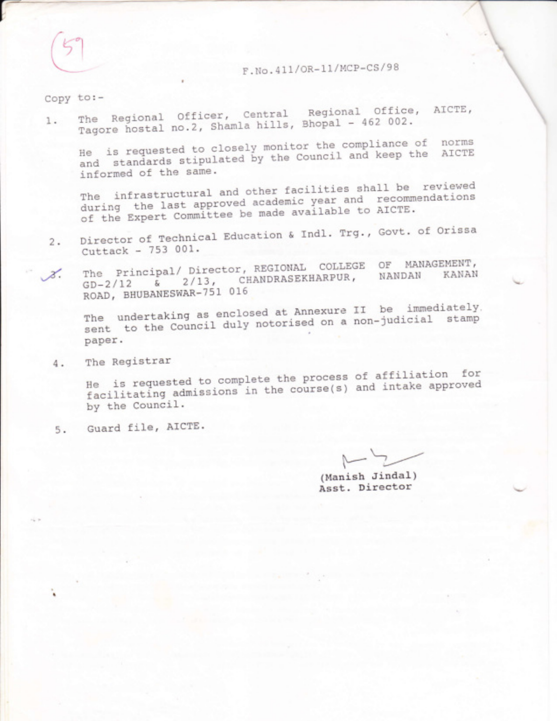F.No.411/OR-11/MCP-CS/98

 $Copy to :-$ 

1. The Regional Officer, Central Regional Office, AICTE, Tagore hostal no.2, Shamla hills, Bhopal - 462 002.

He is requested to closely monitor the compliance of norms and standards stipulated by the Council and keep the AICTE informed of the same.

The infrastructural and other facilities shall be reviewed during the last approved academic year and recommendations of the Expert Committee be made available to AICTE.

- Director of Technical Education & Indl. Trg., Govt. of Orissa  $2.$ Cuttack - 753 001.
- The Principal/ Director, REGIONAL COLLEGE OF MANAGEMENT, 2/13, CHANDRASEKHARPUR, NANDAN KANAN z.  $\varepsilon$  $GD-2/12$ ROAD, BHUBANESWAR-751 016

The undertaking as enclosed at Annexure II be immediately. sent to the Council duly notorised on a non-judicial stamp paper.

The Registrar 4.

He is requested to complete the process of affiliation for facilitating admissions in the course(s) and intake approved by the Council.

5. Guard file, AICTE.

(Manish Jindal) Asst. Director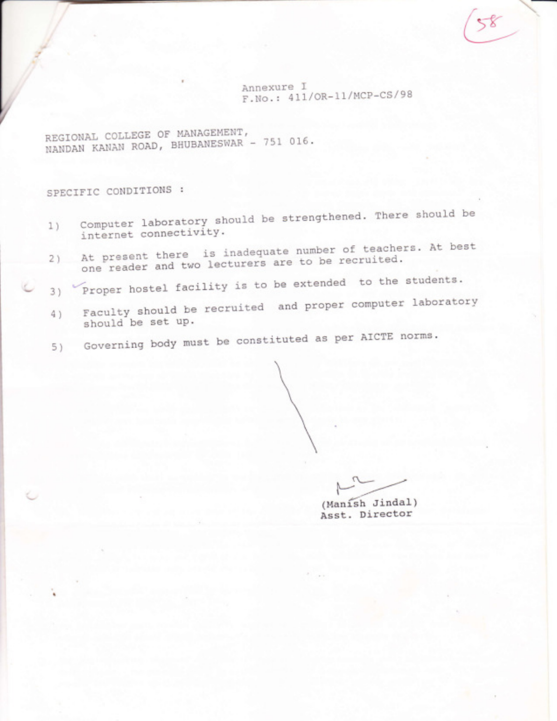Annexure I F.No.: 411/OR-11/MCP-CS/98  $\left(58\right)$ 

REGIONAL COLLEGE OF MANAGEMENT, REGIONAL COLLEGE OF HINDANESWAR - 751 016

SPECIFIC CONDITIONS :

J t

(-

t

- Computer laboratory should be strengthened. There should be 1) internet connectivity.
- $2)$ At present there is inadequate number of teachers. At best one reader and two lecturers are to be recruited.
- 3) Proper hostel facility is to be extended to the students.
- 4) Faculty should be recruited and proper computer laboratory should be set up.
- 5) Governing body must be constituted as per AICTE norms '

 $\sim$ (Manish Jindal)

Asst. Director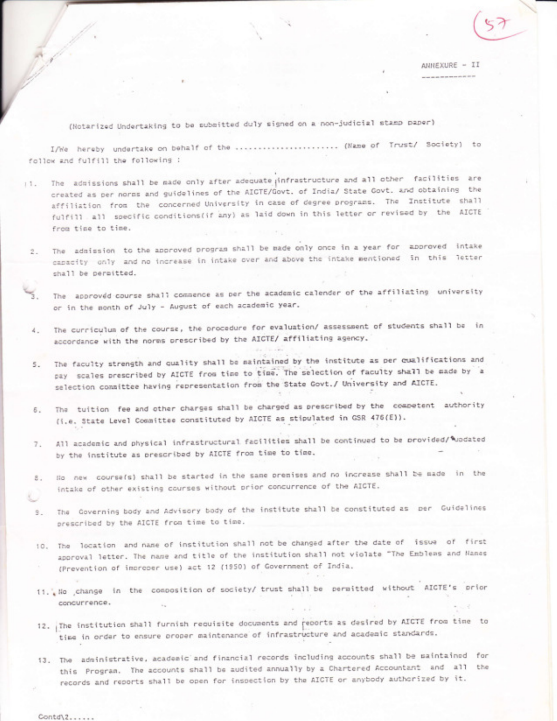(Notarized Undertaking to be submitted duly signed on a non-judicial stamp paper)

I/We hereby undertake on behalf of the ........................ (Name of Trust/ Society) to follow and fulfill the following :

- !!. The admissions shall be made only after adequate infrastructure and all other facilities are created as per norms and guidelines of the AICTE/Govt, of India/ State Govt, and obtaining the affiliation from the concerned University in case of degree programs. The Institute shall fulfill all specific conditions(if any) as laid down in this letter or revised by the AICTE from time to time.
	- 2. The admission to the approved program shall be made only once in a year for approved intake capacity only and no increase in intake over and above the intake mentioned in this letter shall be permitted.
		- The approved course shall commence as per the academic calender of the affiliating university or in the month of July - August of each academic year.
	- 4. The curriculum of the course, the procedure for evaluation/ assessment of students shall be in accordance with the norms prescribed by the AICTE/ affiliating agency.
	- The faculty strength and quality shall be maintained by the institute as per qualifications and 5. pay scales prescribed by AICTE from time to time. The selection of faculty shall be made by a selection consittee having representation from the State Govt./ University and AICTE.
	- 6. The tuition fee and other charges shall be charged as prescribed by the competent authority (i.e. State Level Committee constituted by AICTE as stipulated in GSR 476(E)).
	- 7. All academic and physical infrastructural facilities shall be continued to be provided/\*updated by the institute as prescribed by AICTE from time to time.
	- 8. No new course(s) shall be started in the same premises and no increase shall be made in the intake of other existing courses without prior concurrence of the AICTE.
	- 9. The Governing body and Advisory body of the institute shall be constituted as per Guidelines prescribed by the AICTE from time to time.
	- 10. The location and name of institution shall not be changed after the date of issue of first approval letter. The name and title of the institution shall not violate "The Emblems and Names (Prevention of increper use) act 12 (1950) of Government of India.
	- 11. We change in the composition of society/ trust shall be permitted without AICTE's prior concurrence.
	- 12. The institution shall furnish requisite documents and reports as desired by AICTE from time to time in order to ensure oroper maintenance of infrastructure and academic standards.
	- 13. The administrative, academic and financial records including accounts shall be maintained for this Program. The accounts shall be audited annually by a Chartered Accountant and all the records and reports shall be open for inspection by the AICTE or anybody authorized by it.